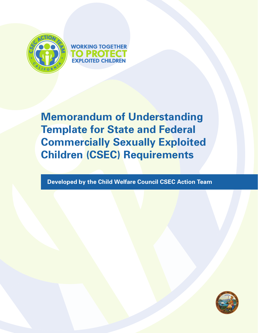



**Memorandum of Understanding Template for State and Federal Commercially Sexually Exploited Children (CSEC) Requirements**

**Developed by the Child Welfare Council CSEC Action Team**

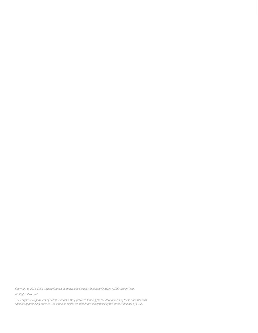*Copyright © 2016 Child Welfare Council Commercially Sexually Exploited Children (CSEC) Action Team.* 

*All Rights Reserved.* 

*The California Department of Social Services (CDSS) provided funding for the development of these documents as samples of promising practice. The opinions expressed herein are solely those of the authors and not of CDSS.*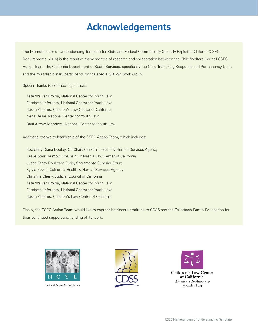## **Acknowledgements**

The Memorandum of Understanding Template for State and Federal Commercially Sexually Exploited Children (CSEC) Requirements (2016) is the result of many months of research and collaboration between the Child Welfare Council CSEC Action Team, the California Department of Social Services, specifically the Child Trafficking Response and Permanency Units, and the multidisciplinary participants on the special SB 794 work group.

Special thanks to contributing authors:

Kate Walker Brown, National Center for Youth Law Elizabeth Laferriere, National Center for Youth Law Susan Abrams, Children's Law Center of California Neha Desai, National Center for Youth Law Raúl Arroyo-Mendoza, National Center for Youth Law

Additional thanks to leadership of the CSEC Action Team, which includes:

Secretary Diana Dooley, Co-Chair, California Health & Human Services Agency Leslie Starr Heimov, Co-Chair, Children's Law Center of California Judge Stacy Boulware Eurie, Sacramento Superior Court Sylvia Pizzini, California Health & Human Services Agency Christine Cleary, Judicial Council of California Kate Walker Brown, National Center for Youth Law Elizabeth Laferriere, National Center for Youth Law Susan Abrams, Children's Law Center of California

Finally, the CSEC Action Team would like to express its sincere gratitude to CDSS and the Zellerbach Family Foundation for their continued support and funding of its work.



National Center for Youth Law



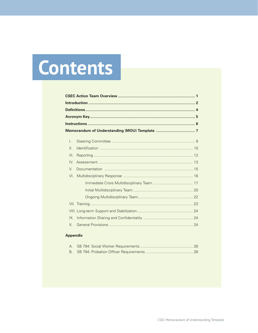# Contents

| $\mathsf{L}$    |  |  |  |  |
|-----------------|--|--|--|--|
| $\mathsf{II}$ . |  |  |  |  |
| III.            |  |  |  |  |
| IV              |  |  |  |  |
| V.              |  |  |  |  |
| VI.             |  |  |  |  |
|                 |  |  |  |  |
|                 |  |  |  |  |
|                 |  |  |  |  |
|                 |  |  |  |  |
|                 |  |  |  |  |
| IX              |  |  |  |  |
| $X_{-}$         |  |  |  |  |
|                 |  |  |  |  |

#### **Appendix**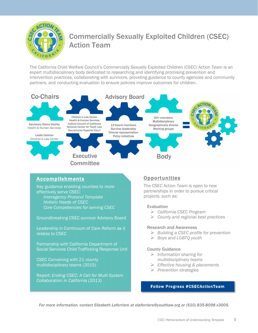

## Commercially Sexually Exploited Children (CSEC) Action Team

The California Child Welfare Council's Commercially Sexually Exploited Children (CSEC) Action Team is an expert multidisciplinary body dedicated to researching and identifying promising prevention and intervention practices, collaborating with survivors, providing guidance to county agencies and community partners, and conducting evaluation to ensure policies improve outcomes for children.



#### Accomplishments

Key guidance enabling counties to more effectively serve CSEC: *Interagency Protocol Template Holistic Needs of CSEC Core Competencies for serving CSEC*

Groundbreaking CSEC survivor Advisory Board

Leadership in Continuum of Care Reform as it relates to CSEC

Partnership with California Department of Social Services Child Trafficking Response Unit

CSEC Convening with 21 county multidisciplinary teams (2015)

Report: *Ending CSEC: A Call for Multi-System Collaboration in California (2013)*

#### **Opportunities**

The CSEC Action Team is open to new partnerships in order to pursue critical projects, such as:

#### Evaluation

- Ø *California CSEC Program*
- Ø *County and regional best practices*

#### Research and Awareness

- Ø *Building a CSEC profile for prevention*
- Ø *Boys and LGBTQ youth*

#### County Guidance

- Ø *Information sharing for multidisciplinary teams*
- Ø *Effective housing & placements*
- Ø *Prevention strategies*

#### Follow Progress #CSECActionTeam

*For more information, contact Elizabeth Laferriere at elaferriere@youthlaw.org or (510) 835-8098 x3005.*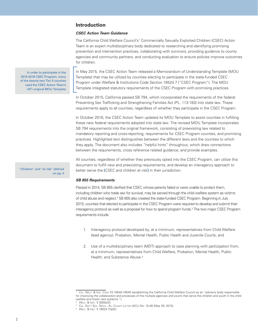#### **Introduction**

#### **CSEC Action Team Guidance**

The California Child Welfare Council's<sup>1</sup> Commercially Sexually Exploited Children (CSEC) Action Team is an expert multidisciplinary body dedicated to researching and identifying promising prevention and intervention practices, collaborating with survivors, providing guidance to county agencies and community partners, and conducting evaluation to ensure policies improve outcomes for children.

In May 2015, the CSEC Action Team released a Memorandum of Understanding Template (MOU Template) that may be utilized by counties electing to participate in the state-funded CSEC Program under Welfare & Institutions Code Section 16524.7 ("CSEC Program"). The MOU Template integrated statutory requirements of the CSEC Program with promising practices.

In October 2015, California passed SB 794, which incorporated the requirements of the federal Preventing Sex Trafficking and Strengthening Families Act (PL. 113-183) into state law. These requirements apply to all counties, regardless of whether they participate in the CSEC Program.

In October 2016, the CSEC Action Team updated its MOU Template to assist counties in fulfilling these new federal requirements adopted into state law. The revised MOU Template incorporates SB 794 requirements into the original framework, consisting of preexisting law related to mandatory reporting and cross-reporting, requirements for CSEC Program counties, and promising practices. Highlighted text distinguishes between the different laws and the counties to which they apply. The document also includes "helpful hints" throughout, which draw connections between the requirements, cross reference related guidance, and provide examples.

All counties, regardless of whether they previously opted into the CSEC Program, can utilize this document to fulfill new and preexisting requirements, and develop an interagency approach to better serve the **[**CSEC and children at risk**]** in their jurisdiction.

#### **SB 855 Requirements**

Passed in 2014, SB 855 clarified that CSEC whose parents failed or were unable to protect them, including children who trade sex for survival, may be served through the child welfare system as victims of child abuse and neglect.<sup>2</sup> SB 855 also created the state-funded CSEC Program. Beginning in July 2015, counties that elected to participate in the CSEC Program were required to develop and submit their interagency protocol as well as a proposal for how to spend program funds.<sup>3</sup> The two major CSEC Program requirements include:

- 1. Interagency protocol developed by, at a minimum, representatives from Child Welfare (lead agency), Probation, Mental Health, Public Health and Juvenile Courts; and
- 2. Use of a multidisciplinary team (MDT) approach to case planning with participation from, at a minimum, representatives from Child Welfare, Probation, Mental Health, Public Health, and Substance Abuse.<sup>4</sup>

In order to participate in the 2015-2016 CSEC Program, many of the twenty-two Tier II counties used the CSEC Action Team's (AT) original MOU Template

"Children" and "at risk" defined on pg. 4

<sup>&</sup>lt;sup>1</sup> CAL. WELF. & Inst. Code §§ 16540-16545 (establishing the California Child Welfare Council as an "advisory body responsible for improving the collaboration and processes of the multiple agencies and courts that serve the children and youth in the child welfare and foster care systems.").

<sup>2</sup> Welf. & Inst. § 300(b)(2).<br><sup>3</sup> Cal. Dep't Soc. Servs., All County Letter (ACL) No. 15-48 (May 29, 2015).<br>4 Welf. & Inst. § 16524.7(d)(2).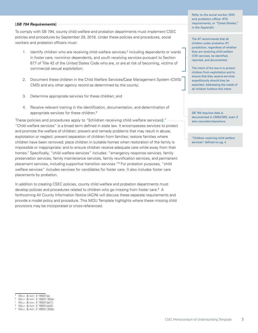#### **[SB 794 Requirements]**

To comply with SB 794, county child welfare and probation departments must implement CSEC policies and procedures by September 29, 2016. Under these policies and procedures, social workers and probation officers must:

- 1. Identify children who are receiving child welfare services,<sup>5</sup> including dependents or wards in foster care, nonminor dependents, and youth receiving services pursuant to Section 677 of Title 42 of the United States Code who are, or are at risk of becoming, victims of commercial sexual exploitation;
- 2. Document these children in the Child Welfare Services/Case Management System (CWS/ CMS) and any other agency record as determined by the county;
- 3. Determine appropriate services for these children; and
- 4. Receive relevant training in the identification, documentation, and determination of appropriate services for these children.<sup>6</sup>

These policies and procedures apply to "**[**children receiving child welfare services**]**." "Child welfare services" is a broad term defined in state law. It encompasses services to protect and promote the welfare of children; prevent and remedy problems that may result in abuse, exploitation or neglect; prevent separation of children from families; restore families where children have been removed; place children in suitable homes when restoration of the family is impossible or inappropriate; and to ensure children receive adequate care while away from their homes.7 Specifically, "child welfare services" includes: "emergency response services, family preservation services, family maintenance services, family reunification services, and permanent placement services, including supportive transition services."8 For probation purposes, "child welfare services" includes services for candidates for foster care. It also includes foster care placements by probation.

In addition to creating CSEC policies, county child welfare and probation departments must develop policies and procedures related to children who go missing from foster care.<sup>9</sup> A forthcoming All County Information Notice (ACIN) will discuss these separate requirements and provide a model policy and procedure. This MOU Template highlights where these missing child provisions may be incorporated or cross-referenced.

Refer to the social worker (SW) and probation officer (PO) requirements, or "Cheat Sheets," in the Appendix

The AT recommends that all children under probation (P) jurisdiction, regardless of whether they are receiving child welfare (CW) services, be identified, reported, and documented.

The intent of the law is to protect children from exploitation and to ensure that they receive services expeditiously should they be exploited. Addressing the needs of all children furthers this intent

SB 794 requires data is documented in CMS/CMS, even if also recorded elsewhere

"Children receiving child welfare services" defined on pg. 4

WELF. & INST. § 16501(a).<br>WELF. & INST. § 16501.35(a).<br>WELF. & INST. § 16501(a)(1).

WELF. & INST. § 16501(a)(2). <sup>9</sup> Welf. & Inst. § 16501.35(b).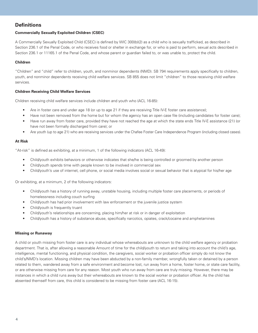#### **Definitions**

#### **Commercially Sexually Exploited Children (CSEC)**

A Commercially Sexually Exploited Child (CSEC) is defined by WIC 300(b)(2) as a child who is sexually trafficked, as described in Section 236.1 of the Penal Code, or who receives food or shelter in exchange for, or who is paid to perform, sexual acts described in Section 236.1 or 11165.1 of the Penal Code, and whose parent or guardian failed to, or was unable to, protect the child.

#### **Children**

"Children" and "child" refer to children, youth, and nonminor dependents (NMD). SB 794 requirements apply specifically to children, youth, and nonminor dependents receiving child welfare services. SB 855 does not limit "children" to those receiving child welfare services.

#### **Children Receiving Child Welfare Services**

Children receiving child welfare services include children and youth who (ACL 16-85):

- Are in foster care and under age 18 (or up to age 21 if they are receiving Title IV-E foster care assistance);
- Have not been removed from the home but for whom the agency has an open case file (including candidates for foster care);
- Have run away from foster care, provided they have not reached the age at which the state ends Title IV-E assistance (21) (or have not been formally discharged from care); or
- Are youth (up to age 21) who are receiving services under the Chafee Foster Care Independence Program (including closed cases).

#### **At Risk**

"At-risk" is defined as exhibiting, at a minimum, 1 of the following indicators (ACL 16-49):

- Child/youth exhibits behaviors or otherwise indicates that she/he is being controlled or groomed by another person
- Child/youth spends time with people known to be involved in commercial sex
- Child/youth's use of internet, cell phone, or social media involves social or sexual behavior that is atypical for his/her age

Or exhibiting, at a minimum, 2 of the following indicators:

- Child/youth has a history of running away, unstable housing, including multiple foster care placements, or periods of homelessness including couch surfing
- Child/youth has had prior involvement with law enforcement or the juvenile justice system
- Child/youth is frequently truant
- Child/youth's relationships are concerning, placing him/her at risk or in danger of exploitation
- Child/youth has a history of substance abuse, specifically narcotics, opiates, crack/cocaine and amphetamines

#### **Missing or Runaway**

A child or youth missing from foster care is any individual whose whereabouts are unknown to the child welfare agency or probation department. That is, after allowing a reasonable Amount of time for the child/youth to return and taking into account the child's age, intelligence, mental functioning, and physical condition, the caregivers, social worker or probation officer simply do not know the child's/NMD's location. Missing children may have been abducted by a non-family member, wrongfully taken or detained by a person related to them, wandered away from a safe environment and become lost, run away from a home, foster home, or state care facility, or are otherwise missing from care for any reason. Most youth who run away from care are truly missing. However, there may be instances in which a child runs away but their whereabouts are known to the social worker or probation officer. As the child has absented themself from care, this child is considered to be missing from foster care (ACL 16-15).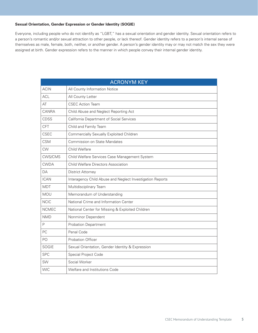#### **Sexual Orientation, Gender Expression or Gender Identity (SOGIE)**

Everyone, including people who do not identify as "LGBT," has a sexual orientation and gender identity. Sexual orientation refers to a person's romantic and/or sexual attraction to other people, or lack thereof. Gender identity refers to a person's internal sense of themselves as male, female, both, neither, or another gender. A person's gender identity may or may not match the sex they were assigned at birth. Gender expression refers to the manner in which people convey their internal gender identity.

| <b>ACRONYM KEY</b> |                                                           |  |  |  |  |
|--------------------|-----------------------------------------------------------|--|--|--|--|
| <b>ACIN</b>        | All County Information Notice                             |  |  |  |  |
| <b>ACL</b>         | All County Letter                                         |  |  |  |  |
| AT                 | <b>CSEC Action Team</b>                                   |  |  |  |  |
| CANRA              | Child Abuse and Neglect Reporting Act                     |  |  |  |  |
| CDSS               | California Department of Social Services                  |  |  |  |  |
| <b>CFT</b>         | Child and Family Team                                     |  |  |  |  |
| <b>CSEC</b>        | <b>Commercially Sexually Exploited Children</b>           |  |  |  |  |
| <b>CSM</b>         | <b>Commission on State Mandates</b>                       |  |  |  |  |
| <b>CW</b>          | Child Welfare                                             |  |  |  |  |
| CWS/CMS            | Child Welfare Services Case Management System             |  |  |  |  |
| <b>CWDA</b>        | Child Welfare Directors Association                       |  |  |  |  |
| DA                 | <b>District Attorney</b>                                  |  |  |  |  |
| <b>ICAN</b>        | Interagency Child Abuse and Neglect Investigation Reports |  |  |  |  |
| <b>MDT</b>         | Multidisciplinary Team                                    |  |  |  |  |
| MOU                | Memorandum of Understanding                               |  |  |  |  |
| <b>NCIC</b>        | National Crime and Information Center                     |  |  |  |  |
| <b>NCMEC</b>       | National Center for Missing & Exploited Children          |  |  |  |  |
| <b>NMD</b>         | Nonminor Dependent                                        |  |  |  |  |
| P                  | <b>Probation Department</b>                               |  |  |  |  |
| PC                 | Penal Code                                                |  |  |  |  |
| PO                 | <b>Probation Officer</b>                                  |  |  |  |  |
| <b>SOGIE</b>       | Sexual Orientation, Gender Identity & Expression          |  |  |  |  |
| <b>SPC</b>         | Special Project Code                                      |  |  |  |  |
| SW                 | Social Worker                                             |  |  |  |  |
| <b>WIC</b>         | Welfare and Institutions Code                             |  |  |  |  |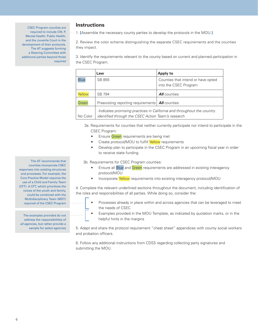CSEC Program counties are required to include CW, P, Mental Health, Public Health, and the Juvenile Court in the development of their protocols. The AT suggests forming a Steering Committee with additional parties beyond those required

#### **Instructions**

1. **[**Assemble the necessary county parties to develop the protocols in the MOU.**]**

2. Review the color scheme distinguishing the separate CSEC requirements and the counties they impact.

3. Identify the requirements relevant to the county based on current and planned participation in the CSEC Program.

|             | Law                                                                                                                          | Apply to                                                    |  |
|-------------|------------------------------------------------------------------------------------------------------------------------------|-------------------------------------------------------------|--|
| <b>Blue</b> | SB 855                                                                                                                       | Counties that intend or have opted<br>into the CSEC Program |  |
| Yellow      | SB 794                                                                                                                       | <b>All</b> counties                                         |  |
| Green       | Preexisting reporting requirements   All counties                                                                            |                                                             |  |
| No Color    | Indicates promising practices in California and throughout the country<br>identified through the CSEC Action Team's research |                                                             |  |

 3a. Requirements for counties that neither currently participate nor intend to participate in the CSEC Program:

- Ensure Green requirements are being met
- Create protocol/MOU to fulfill Yellow requirements
- Develop plan to participate in the CSEC Program in an upcoming fiscal year in order to receive state funding

3b. Requirements for CSEC Program counties:

- Ensure all Blue and Green requirements are addressed in existing interagency protocol/MOU
- Incorporate Yellow requirements into existing interagency protocol/MOU

4. Complete the relevant underlined sections throughout the document, including identification of the roles and responsibilities of all parties. While doing so, consider the:

- Processes already in place within and across agencies that can be leveraged to meet the needs of CSEC
- Examples provided in the MOU Template, as indicated by quotation marks, or in the helpful hints in the margins

5. Adapt and share the protocol requirement "cheat sheet" appendices with county social workers and probation officers.

6. Follow any additional instructions from CDSS regarding collecting party signatures and submitting the MOU.

The AT recommends that counties incorporate CSEC responses into existing structures and processes. For example, the Core Practice Model requires the use of a Child and Family Team (CFT). A CFT, which prioritizes the voices of the youth and family, could be combined with the Multidisciplinary Team (MDT) required of the CSEC Program

The examples provided do not address the responsibilities of all agencies, but rather provide a sample for select agencies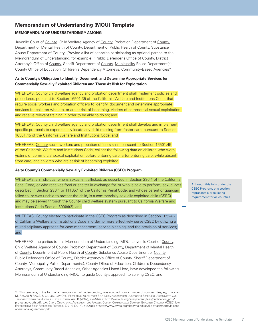#### **Memorandum of Understanding (MOU) Template MEMORANDUM OF UNDERSTANDING10 AMONG**

Juvenile Court of County, Child Welfare Agency of County, Probation Department of County, Department of Mental Health of County, Department of Public Health of County, Substance Abuse Department of County, [Provide a list of agencies participating as optional parties to the Memorandum of Understanding, for example: "Public Defender's Office of County, District Attorney's Office of County, Sheriff Department of County, Municipality Police Department(s), County Office of Education, Children's Dependency Attorneys, Community-Based Agencies"

#### **As to County's Obligation to Identify, Document, and Determine Appropriate Services for Commercially Sexually Exploited Children and Those At Risk for Exploitation**

WHEREAS, County child welfare agency and probation department shall implement policies and procedures, pursuant to Section 16501.35 of the California Welfare and Institutions Code, that require social workers and probation officers to identify, document and determine appropriate services for children who are, or are at risk of becoming, victims of commercial sexual exploitation; and receive relevant training in order to be able to do so; and

WHEREAS, County child welfare agency and probation department shall develop and implement specific protocols to expeditiously locate any child missing from foster care, pursuant to Section 16501.45 of the California Welfare and Institutions Code; and

WHEREAS, County social workers and probation officers shall, pursuant to Section 16501.45 of the California Welfare and Institutions Code, collect the following data on children who were victims of commercial sexual exploitation before entering care, after entering care, while absent from care, and children who are at risk of becoming exploited.

#### **As to County's Commercially Sexually Exploited Children (CSEC) Program**

WHEREAS, an individual who is sexually trafficked, as described in Section 236.1 of the California Penal Code, or who receives food or shelter in exchange for, or who is paid to perform, sexual acts described in Section 236.1 or 11165.1 of the California Penal Code, and whose parent or guardian failed to, or was unable to protect the child, is a commercially sexually exploited child (CSEC) and may be served through the County child welfare system pursuant to California Welfare and Institutions Code Section 300(b)(2); and

WHEREAS, County elected to participate in the CSEC Program as described in Section 16524.7 of California Welfare and Institutions Code in order to more effectively serve CSEC by utilizing a multidisciplinary approach for case management, service planning, and the provision of services; and

WHEREAS, the parties to this Memorandum of Understanding (MOU), Juvenile Court of County, Child Welfare Agency of County, Probation Department of County, Department of Mental Health of County, Department of Public Health of County, Substance Abuse Department of County, Public Defender's Office of County, District Attorney's Office of County, Sheriff Department of County, Municipality Police Department(s), County Office of Education, Children's Dependency Attorneys, Community-Based Agencies, Other Agencies Listed Here, have developed the following Memorandum of Understanding (MOU) to guide County's approach to serving CSEC; and

Although this falls under the CSEC Program, this section represents a preexisting requirement for all counties

<sup>&</sup>lt;sup>10</sup> This template, in the form of a memorandum of understanding, was adapted from a number of sources. See, e.g., Lourdes M. Rosado & Riya S. Shah, Juv. Law Ctr., Protecting Youth from Self-Incrimination when Undergoing Screening, Assessment, and Treatment within the Juvenile Justice System App. B (2007), available at http://www.jlc.org/sites/default/files/publication\_pdfs/ protectingyouth.pdf; L.A. Cnty., Operational Agreement Los Angeles County Commercially Sexually Exploited Children (CSEC) Law ENFORCEMENT FIRST RESPONDER PROTOCOL (2014) (2014), available at http://www.cwda.org/sites/main/files/file-attachments/la-csecoperational-agreement.pdf.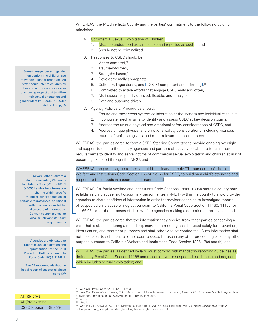WHEREAS, the MOU reflects County and the parties' commitment to the following guiding principles:

- A. Commercial Sexual Exploitation of Children:
	- 1. Must be understood as child abuse and reported as such,<sup>11</sup> and
	- 2. Should not be criminalized.
- B. Responses to CSEC should be:
	- 1. Victim-centered,<sup>12</sup>
	- 2. Trauma-informed,<sup>13</sup>
	- 3. Strengths-based,<sup>14</sup>
	- 4. Developmentally appropriate,
	- 5. Culturally, linguistically, and **[**LGBTQ competent and affirming**]**, 15
	- 6. Committed to active efforts that engage CSEC early and often,
	- 7. Multidisciplinary, individualized, flexible, and timely, and
	- 8. Data and outcome driven.
- C. Agency Policies & Procedures should:
	- 1. Ensure and track cross-system collaboration at the system and individual case level,
	- 2. Incorporate mechanisms to identify and assess CSEC at key decision points,
	- 3. Address the unique physical and emotional safety considerations of CSEC, and
	- 4. Address unique physical and emotional safety considerations, including vicarious trauma of staff, caregivers, and other relevant support persons.

WHEREAS, the parties agree to form a CSEC Steering Committee to provide ongoing oversight and support to ensure the county agencies and partners effectively collaborate to fulfill their requirements to identify and serve victims of commercial sexual exploitation and children at risk of becoming exploited through the MOU; and

WHEREAS, the parties agree to form a multidisciplinary team (MDT), pursuant to California Welfare and Institutions Code Section 16524.7(d)(2) for CSEC, to build on a child's strengths and respond to their needs in a coordinated manner; and

WHEREAS, California Welfare and Institutions Code Sections 18960-18964 states a county may establish a child abuse multidisciplinary personnel team (MDT) within the county to allow provider agencies to share confidential information in order for provider agencies to investigate reports of suspected child abuse or neglect pursuant to California Penal Code Section 11160, 11166, or 11166.05, or for the purposes of child welfare agencies making a detention determination; and

WHEREAS, the parties agree that the information they receive from other parties concerning a child that is obtained during a multidisciplinary team meeting shall be used solely for prevention, identification, and treatment purposes and shall otherwise be confidential. Such information shall not be subject to subpoena or other court process for use in any other proceeding or for any other purpose pursuant to California Welfare and Institutions Code Section 18961.7(c) and (h); and

WHEREAS, the parties, as defined by law, must comply with mandatory reporting guidelines as defined by Penal Code Section 11166 and report known or suspected child abuse and neglect, which includes sexual exploitation; and

Several other California statutes, including Welfare & Institutions Code (WIC) § 18951 & 16501 authorize information sharing within specific multidisciplinary contexts. In certain circumstances, additional authorization is needed for disclosure of information.

> Consult county counsel to discuss relevant statutory

> > requirements

Agencies are obligated to report sexual exploitation and "prostitution" to the Child Protection Hotline pursuant to Penal Code (PC) § 11165.1.

The AT recommends that the initial report of suspected abuse go to CW

Some transgender and gender non-conforming children use "they/their" gender pronouns. All staff should refer to children by their correct pronouns as a way of showing respect and to affirm their sexual orientation and gender identity (SOGIE). "SOGIE" defined on pg. 5

See CAL. PENAL CODE §§ 11164-11174.3.

<sup>&</sup>lt;sup>12</sup> See Cal. Child WELF. Council, CSEC Action TEAM, Model Interagency Protocol, Appendix (2015), available at http://youthlaw. org/wp-content/uploads/2015/04/Appendix\_040615\_Final.pdf.

<sup>&</sup>lt;sup>13</sup> See id.

See id.

<sup>&</sup>lt;sup>15</sup> See Polaris, Breaking Barriers: Improving Services for LGBTQ Human Trafficking Victims (2015), available at https:// polarisproject.org/sites/default/files/breaking-barriers-lgbtq-services.pdf.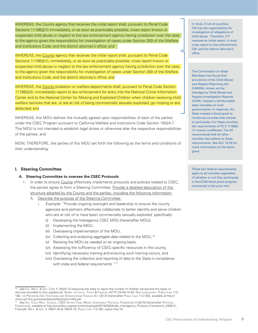WHEREAS, the County agency that receives the initial report shall, pursuant to Penal Code Sections 11166(j)(1) immediately, or as soon as practicably possible, cross report known or suspected child abuse or neglect to the law enforcement agency having jurisdiction over the case, to the agency given the responsibility for investigation of cases under Section 300 of the Welfare and Institutions Code, and the district attorney's office; and

WHEREAS, the County agency that receives the initial report shall, pursuant to Penal Code Sections 11166(j)(1), immediately, or as soon as practicably possible, cross report known or suspected child abuse or neglect to the law enforcement agency having jurisdiction over the case, to the agency given the responsibility for investigation of cases under Section 300 of the Welfare and Institutions Code, and the district attorney's office; and

WHEREAS, the County probation or welfare departments shall, pursuant to Penal Code Section 11166(j)(3), immediately report to law enforcement for entry into the National Crime Information Center and to the National Center for Missing and Exploited Children when children receiving child welfare services that are, or are at risk of being commercially sexually exploited, go missing or are abducted; and

WHEREAS, this MOU defines the mutually agreed upon responsibilities of each of the parties under the CSEC Program pursuant to California Welfare and Institutions Code Section 16524.7. This MOU is not intended to establish legal duties or otherwise alter the respective responsibilities of the parties; and

NOW, THEREFORE, the parties of this MOU set forth the following as the terms and conditions of their understanding:

#### **I. Steering Committee**

#### **A. Steering Committee to oversee the CSEC Protocols**

- 1. In order to ensure County effectively implements protocols and policies related to CSEC, the parties agree to form a Steering Committee. Provide a detailed description of the structure adopted by the County and the parties, including the following information:
	- A. Describe the purpose of the Steering Committee.
		- i. Example: "Provide ongoing oversight and leadership to ensure the county agencies and partners effectively collaborate to better identify and serve children who are at risk of or have been commercially sexually exploited, specifically:
			- (i) Developing the Interagency CSEC MOU (hereinafter MOU),
			- (ii) Implementing the MOU,
			- (iii) Overseeing implementation of the MOU,
			- (iv) Collecting and analyzing aggregate data related to the MOU,16
			- (v) Revising the MOU as needed on an ongoing basis,
			- (vi) Assessing the sufficiency of CSEC-specific resources in the county,
			- (vii) Identifying necessary training and ensuring such training occurs, and
			- (viii) Overseeing the collection and reporting of data to the State in compliance with state and federal requirements."<sup>17</sup>

16 See CAL. WELF. & INST. CODE § 16524.10 (requiring the state to report the number of children served and the types of services provided to the Legislature); Admin. on Child., Youth & Families, ACYF-CB-IM-14-03, New Legislation – Public Law 113- 183, THE PREVENTING SEX TRAFFICKING AND STRENGTHENING FAMILIES ACT (2014) [hereinafter Public Law 113-183], available at http:// www.acf.hhs.gov/sites/default/files/cb/im1403.pdf.

In most, if not all counties, CW has the responsibility for investigation of allegations of child abuse. Therefore, if P receives an initial report, it must cross report to law enforcement, CW, and the district attorney's office

The Commission on State Mandates has found that provisions of the Child Abuse and Neglect Reporting Act (CANRA), known as the Interagency Child Abuse and Neglect Investigation Reports (ICAN), impose a reimbursable state mandate on local governments. In response, the State created a block grant to reimburse counties that choose to participate. For these counties, the requirements of PC § 11166(j) (1) remain unaffected. The AT recommends that all other counties also adhere to these requirements. See ACL 16-20 for more information on the block grant

These two federal requirements apply to all counties regardless of whether or not they participate in the ICAN block grant program mentioned in the prior hint

<sup>&</sup>lt;sup>17</sup> See Cal. Child Welf. Council, CSEC Action TEAM, MODEL INTERAGENCY PROTOCOL FRAMEWORK 3 (2015) [hereinafter Protoco Framework], available at http://youthlaw.org/wp-content/uploads/2015/04/Model\_Interagency\_Protocol\_Framework\_040615\_ Final.pdf; WELF. & INST. § 16501.45 & 16524.10; PUBLIC LAW 113-183, supra note 16.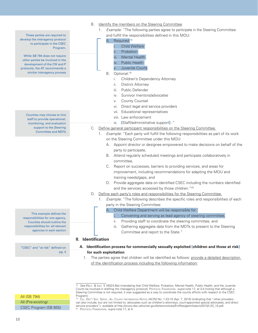- B. Identify the members on the Steering Committee.
	- 1. Example: "The following parties agree to participate in the Steering Committee and fulfill the responsibilities defined in this MOU:

#### A. Required:<sup>18</sup>

- Child Welfare ii. Probation
- iii. Mental Health
- iv. Public Health
- v. Juvenile Courts
- B. Optional:19
	- i. Children's Dependency Attorney
	- ii. District Attorney
	- iii. Public Defender
	- iv. Survivor mentors/advocates
	- v. County Counsel
	- vi. Direct legal and service providers
	- vii. Educational representatives
	- viii. Law enforcement
	- ix. **[**Staff/administrative support**]** ."
- C. Define general participant responsibilities on the Steering Committee.
	- 1. Example: "Each party will fulfill the following responsibilities as part of its work on the Steering Committee under this MOU:
		- A. Appoint director or designee empowered to make decisions on behalf of the party to participate,
		- B. Attend regularly scheduled meetings and participate collaboratively in committee,
		- C. Report on successes, barriers to providing services, and areas for improvement, including recommendations for adapting the MOU and training needs/gaps, and
		- D. Provide aggregate data on identified CSEC including the numbers identified and the services accessed by those children."20
- D. Define each party's roles and responsibilities for the Steering Committee.
	- 1. Example: "The following describes the specific roles and responsibilities of each party in the Steering Committee:
		- A. Child Welfare Department will be responsible for :
			- Convening and serving as lead agency of steering committee,
			- ii. Providing staff to coordinate the steering committee, and
			- iii. Gathering aggregate data from the MDTs to present to the Steering Committee and report to the State."

#### **II. Identification**

- **A. Identification process for commercially sexually exploited [children and those at risk] for such exploitation**
	- 1. The parties agree that children will be identified as follows: provide a detailed description of the identification process including the following information:

These parties are required to develop the interagency protocol to participate in the CSEC Program.

While SB 794 does not require other parties be involved in the development of the CW and P protocols, the AT recommends a similar interagency process

> Counties may choose to hire staff to provide operational, monitoring, and evaluation support to the Steering Committee and MDTs

This example defines the responsibilities for one agency. Counties should outline the responsibilities for all relevant agencies in each section

"CSEC" and "at risk" defined on pg. 4

All (SB 794) All (Pre-existing)

CSEC Program (SB 855)

 $18$  See WELF. & Inst. § 16524.8(a) (mandating that Child Welfare, Probation, Mental Health, Public Health, and the Juvenile Courts be involved in drafting the interagency protocol); Protocol Framework, supra note 17, at 3-4 (noting that although a Steering Committee is not required, it was suggested as a way to coordinate the county efforts with respect to the CSEC Program).

<sup>19</sup> Cal. Dep't Soc. Servs., All County Information Notice (ACIN) No. 1-23-15 (Apr. 7, 2015) (indicating that "other providers can also include, but are not limited to, advocates such as children's attorneys, court-appointed special advocates, and direct service providers"), available at http://www.dss.cahwnet.gov/lettersnotices/EntRes/getinfo/acin/2015/I-23\_15.pdf. <sup>20</sup> PROTOCOL FRAMEWORK, supra note 17, at 4.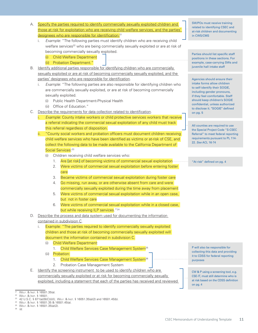- A. Specify the parties required to identify commercially sexually exploited children and those at risk for exploitation who are receiving child welfare services, and the parties' designees who are responsible for identification:<sup>21</sup>
	- i. Example: "The following parties must identify children who are receiving child welfare services<sup>22</sup> who are being commercially sexually exploited or are at risk of becoming commercially sexually exploited.
		- (i) Child Welfare Department
		- (ii) Probation Department."
- B. Identify additional parties responsible for identifying children who are commercially sexually exploited or are at risk of becoming commercially sexually exploited, and the parties' designees who are responsible for identification.
	- i. Example: "The following parties are also responsible for identifying children who are commercially sexually exploited, or are at risk of becoming commercially sexually exploited.
		- (i) Public Health Department-Physical Health
		- (ii) Office of Education."
- C. Describe the requirements for data collection related to identification.
	- Example: County intake workers or child protective services workers that receive a referral indicating the commercial sexual exploitation of any child must track this referral regardless of disposition.
	- ii. "County social workers and probation officers must document children receiving child welfare services who have been identified as victims or at-risk of CSE, and collect the following data to be made available to the California Department of Social Services:<sup>23</sup>
		- (i) Children receiving child welfare services who:
			- 1. Are **[**at risk**]** of becoming victims of commercial sexual exploitation
			- 2. Were victims of commercial sexual exploitation before entering foster care
			- 3. Became victims of commercial sexual exploitation during foster care
			- 4. Go missing, run away, or are otherwise absent from care and were commercially sexually exploited during the time away from placement
			- 5. Were victims of commercial sexual exploitation while in an open case, but not in foster care
			- 6. Were victims of commercial sexual exploitation while in a closed case, but while receiving ILP services."<sup>24</sup>
- D. Describe the process and data system used for documenting the information

#### contained in subdivision C.

- i. Example: "The parties required to identify commercially sexually exploited children and those at risk of becoming commercially sexually exploited will document the information contained in subdivision C.
	- (i) Child Welfare Department:
		- 1. Child Welfare Services Case Management System<sup>25</sup>
	- (ii) Probation:
		- 1. Child Welfare Services Case Management System<sup>26</sup>
		- 2. Probation Case Management System
- E. Identify the screening instrument to be used to identify children who are commercially sexually exploited or at risk for becoming commercially sexually exploited, including a statement that each of the parties has received and reviewed

SW/POs must receive training related to identifying CSEC and at-risk children and documenting in CWS/CMS

Parties should list specific staff positions in these sections. For example, case-carrying SWs and juvenile hall intake staff

Agencies should ensure their intake forms allow children to self-identify their SOGIE, including gender pronouns, if they feel comfortable. Staff should keep children's SOGIE confidential, unless authorized to disclose it. "SOGIE" defined on pg. 5

All counties are required to use the Special Project Code "S-CSEC Referral" to meet federal reporting requirements pursuant to PL 114- 22. See ACL 16-74

"At risk" defined on pg. 4

P will also be responsible for collecting this data and providing it to CDSS for federal reporting purposes

CW & P using a screening tool, e.g. CSE-IT, must still determine who is at risk based on the CDSS definition on pg. 4

<sup>&</sup>lt;sup>21</sup> WELF. & INST. § 16501.35(a).<br><sup>22</sup> WELF & INST. § 16501.

<sup>23 42</sup> U.S.C. § 671(a)(9)(C)(i)(I); WELF. & Inst. § 16051.35(a)(2) and 16501.45(b).<br><sup>24</sup> WELF. & Inst. § 16501.35 & 16501.45(a).

<sup>&</sup>lt;sup>25</sup> WELF. & INST. § 16501.35(a)(2).<br><sup>26</sup> Id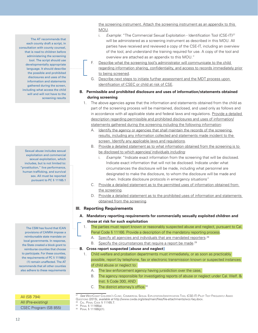the screening instrument. Attach the screening instrument as an appendix to this MOU.

- i. *Example*: "The Commercial Sexual Exploitation Identification Tool (CSE-IT)<sup>27</sup> will be administered as a screening instrument as described in this MOU. All parties have received and reviewed a copy of the CSE-IT, including an overview of the tool, and understand the training required for use. A copy of the tool and overview are attached as an appendix to this MOU."
- F. Describe what the screening tool's administrator will communicate to the child regarding information sharing, confidentiality, and access to records immediately prior to being screened.
- G. Describe next steps to initiate further assessment and the MDT process upon identification of CSEC or child at risk of CSE.
- **B. Permissible and prohibited disclosure and uses of information/statements obtained during screening**
	- 1. The above agencies agree that the information and statements obtained from the child as part of the screening process will be maintained, disclosed, and used only as follows and in accordance with all applicable state and federal laws and regulations. Provide a detailed description regarding permissible and prohibited disclosures and uses of information/ statements gathered during the screening including the following information:
		- A. Identify the agency or agencies that shall maintain the records of the screening results, including any information collected and statements made incident to the screen. Identify any applicable laws and regulations.
		- B. Provide a detailed statement as to what information obtained from the screening is to be disclosed to which agencies/ individuals including:
			- i. Example: "Indicate exact information from the screening that will be disclosed. Indicate exact information that will not be disclosed. Indicate under what circumstances the disclosure will be made, including what personnel are designated to make the disclosure, to whom the disclosure will be made and when. Indicate disclosure protocols in emergency situations"
		- C. Provide a detailed statement as to the permitted uses of information obtained from the screening.
		- D. Provide a detailed statement as to the prohibited uses of information and statements obtained from the screening.

#### **III. Reporting Requirements**

- **A. Mandatory reporting requirements for commercially sexually exploited children and those at risk for such exploitation**
	- 1. The parties must report known or reasonably suspected abuse and neglect, pursuant to Cal. Penal Code § 11166. Provide a description of the mandatory reporting process.
		- A. Specify all agencies and individuals that are mandated reporters.<sup>28</sup>
		- B. Specify the circumstances that require a report be made.<sup>29</sup>

#### **B. Cross report suspected [abuse and neglect]**

- 1. Child welfare and probation departments must immediately, or as soon as practicably possible, report by telephone, fax or electronic transmission known or suspected instances of child abuse or neglect to:
	- A. The law enforcement agency having jursidiction over the case,
	- B. The agency responsible for investigating reports of abuse or neglect under Cal. Welf. & Inst. § Code 300, AND
	- C. The district attorney's office.<sup>30</sup>

- 
- 

The AT recommends that each county draft a script, in consultation with county counsel, that is read to children before administering the screening tool. The script should use developmentally appropriate language. It should describe the possible and prohibited disclosures and uses of the information and statements gathered during the screen, including what access the child will and will not have to the screening results

Sexual abuse includes sexual exploitation and commercial sexual exploitation, which includes, but is not limited to: "prostitution," live performance, human trafficking, and survival sex. All must be reported pursuant to PC § 11165.1

The CSM has found that ICAN provisions of CANRA impose a reimbursable state mandate on local governments. In response, the State created a block grant to reimburse counties that choose to participate. For these counties, the requirements of PC § 11166(j) (1) remain unaffected. The AT recommends that all other counties also adhere to these requirements

All (SB 794) All (Pre-existing)

CSEC Program (SB 855)

<sup>27</sup> See WestCoast Children's Clinic, Commercial Sexual Exploitation-Identification Tool (CSE-IT) Pilot Test Frequently Asked Questions (2015), available at http://www.cwda.org/sites/main/files/file-attachments/wcc-faq.docx.

<sup>28</sup> Cal. Penal Code § 11165.7. 29 Penal § 11166(a). 30 Penal § 11166(j)(1).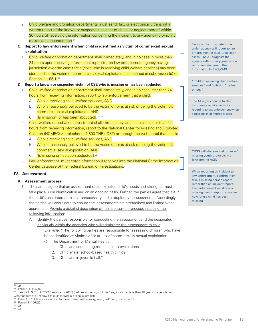- 2. Child welfare and probation departments must send, fax, or electronically transmit a written report of the known or suspected incident of abuse or neglect thereof within 36 hours of receiving the information concerning the incident to any agency to which it makes a telephone report.<sup>31</sup>
- **C. Report to law enforcement when child is identified as victim of commercial sexual exploitation**
	- 1. Child welfare or probation department shall immediately, and in no case in more than 24 hours upon receiving information, report to the law enforcement agency having jurisdiction over the case that a **[**child who is receiving child welfare services**]** has been identified as the victim of commercial sexual exploitation, as defined in subdivision (d) of Section 11165.1.<sup>32</sup>

#### **D. Report a known or suspected victim of CSE who is missing or has been abducted**

- 1. Child welfare or probation department shall immediately, and in no case later than 24 hours from receiving information, report to law enforcement that a child:
	- A. Who is receiving child welfare services, AND
	- B. Who is reasonably believed to be the victim of, or is at risk of being the victim of, commercial sexual exploitation, AND
	- C. **[**Is missing33 or has been abducted**]**. 34 35
- 2. Child welfare or probation department shall immediately, and in no case later than 24 hours from receiving information, report to the National Center for Missing and Exploited Children (NCMEC) via telephone (1-800-THE-LOST) or through the web portal that a child:
	- A. Who is receiving child welfare services, AND
	- B. Who is reasonably believed to be the victim of, or is at risk of being the victim of, commercial sexual exploitation, AND
	- C. **[**Is missing or has been abducted**]**. 36
- 3. Law enforcement must enter information it receives into the National Crime Information Center database of the Federal Bureau of Investigations. 37

#### **IV. Assessment**

#### **A. Assessment process**

- 1. The parties agree that an assessment of an exploited child's needs and strengths must take place upon identification and on an ongoing basis. Further, the parties agree that it is in the child's best interest to limit unnecessary and or duplicative assessments. Accordingly, the parties will coordinate to ensure that assessments are streamlined and limited when appropriate. Provide a detailed description of the assessment process including the following information:
	- A. Identify the parties responsible for conducting the assessment and the designated individuals within the agencies who will administer the assessment to child.
		- i. Example: "The following parties are responsible for assessing children who have been identified as victims of or at risk of commercially sexual exploitation.
			- (i) The Department of Mental Health:
				- 1. Clinicians conducting mental health evaluations
				- 2. Clinicians in school-based health clinics
				- 3. Clinicians in juvenile hall."

 $31$  Id. <sup>32</sup> Penal § 11166(j)(2).

whereabouts are unknown to such individual's legal custodian").

Each county must determine which agency will report to law enforcement in dual jurisdiction cases. The AT suggests the agency with primary jurisdiction report and document this information in CWS/CMS

"Children receiving child welfare services" and "missing" defined on pg. 4

The AT urges counties to also incorporate requirements for reporting to law enforcement when a missing child returns to care

CDSS will share model runaway/ missing youth protocols in a forthcoming ACIN

When reporting an incident to law enforcement, confirm they take a missing person report rather than an incident report. Law enforcement must take a missing person report no matter how long a child has been missing

<sup>33</sup> See 42 U.S.C.S. § 5772 (LexisNexis 2016) (defines a missing child as "any individual less than 18 years of age whose

<sup>34</sup> PENAL § 278 (defines abduction to mean "take, entice away, keep, withhold, or conceal").

<sup>35</sup> Penal§ 11166(j)(3).  $36$  Id.

 $37$   $\overrightarrow{Id}$ .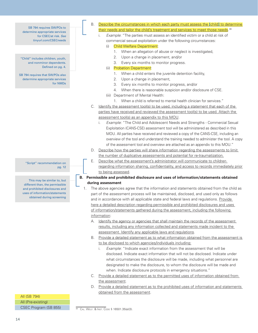SB 794 requires SW/POs to determine appropriate services for CSEC/at risk. See tinyurl.com/CSECneeds

"Child" includes children, youth, and nonminor dependents. Defined on pg. 4.

SB 794 requires that SW/POs also determine appropriate services for NMDs

> "Script" recommendation on pg. 12

This may be similar to, but different than, the permissible and prohibited disclosures and uses of information/statements obtained during screening

- B. Describe the circumstances in which each party must assess the **[**child**]** to determine their needs and tailor the child's treatment and services to meet those needs.<sup>38</sup>
	- i. Example: "The parties must assess an identified victim or a child at risk of
		- commercial sexual exploitation under the following circumstances:

#### (i) Child Welfare Department:

- 1. When an allegation of abuse or neglect is investigated,
- 2. Upon a change in placement, and/or
- 3. Every six months to monitor progress.
- (ii) Probation Department:
	- 1. When a child enters the juvenile detention facility,
	- 2. Upon a change in placement,
	- 3. Every six months to monitor progress, and/or
	- 4. When there is reasonable suspicion and/or disclosure of CSE.
- (iii) Department of Mental Health:
	- 1. When a child is referred to mental health clinician for services."
- C. Identify the assessment tool(s) to be used, including a statement that each of the parties have received and reviewed the assessment tool(s) to be used. Attach the assessment tool(s) as an appendix to this MOU.
	- i. Example: "The Child and Adolescent Needs and Strengths Commercial Sexual Exploitation (CANS-CSE) assessment tool will be administered as described in this MOU. All parties have received and reviewed a copy of the CANS-CSE, including an overview of the tool and understand the training needed to administer the tool. A copy of the assessment tool and overview are attached as an appendix to this MOU."
- D. Describe how the parties will share information regarding the assessments to limit the number of duplicative assessments and potential for re-traumatization.
- E. Describe what the assessment's administrator will communicate to children regarding information sharing, confidentiality, and access to records immediately prior to being assessed.
- **B. Permissible and prohibited disclosure and uses of information/statements obtained during assessment**
	- 1. The above agencies agree that the information and statements obtained from the child as part of the assessment process will be maintained, disclosed, and used only as follows and in accordance with all applicable state and federal laws and regulations. Provide here a detailed description regarding permissible and prohibited disclosures and uses of information/statements gathered during the assessment, including the following information:
		- A. Identify the agency or agencies that shall maintain the records of the assessment results, including any information collected and statements made incident to the assessment. Identify any applicable laws and regulations.
		- B. Provide a detailed statement as to what information obtained from the assessment is to be disclosed to which agencies/individuals including:
			- i. Example: "Indicate exact information from the assessment that will be disclosed. Indicate exact information that will not be disclosed. Indicate under what circumstances the disclosure will be made, including what personnel are designated to make the disclosure, to whom the disclosure will be made and when. Indicate disclosure protocols in emergency situations."
		- C. Provide a detailed statement as to the permitted uses of information obtained from the assessment.
		- D. Provide a detailed statement as to the prohibited uses of information and statements obtained from the assessment.

All (SB 794) All (Pre-existing) CSEC Program (SB 855)

<sup>38</sup> Cal. Welf. & Inst. Code § 16501.35(a)(3).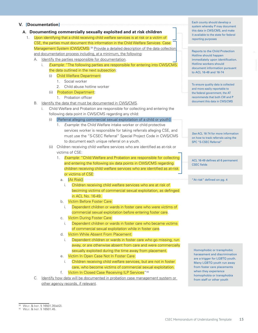#### **V. [Documentation]**

#### **A. Documenting commercially sexually exploited and at risk children**

- 1. Upon identifying that a child receiving child welfare services is at risk or a victim of CSE, the parties must document this information in the Child Welfare Services Case Management System (CWS/CMS).<sup>39</sup> Provide a detailed description of the data collection and documentation process including, at a minimum, the following:
	- A. Identify the parties responsible for documentation.
		- i. Example: "The following parties are responsible for entering into CWS/CMS the data outlined in the next subsection:
			- (i) Child Welfare Department:
				- 1. Social worker
				- 2. Child abuse hotline worker
			- (ii) Probation Department:
				- 1. Probation officer
	- B. Identify the data that must be documented in CWS/CMS.
		- Child Welfare and Probation are responsible for collecting and entering the following data point in CWS/CMS regarding any child:
			- (i) **[**Referral alleging commercial sexual exploitation of a child or youth**]**:
				- 1. Example: the Child Welfare intake worker or child protective services worker is responsible for taking referrals alleging CSE, and must use the "S-CSEC Referral" Special Project Code in CWS/CMS to document each unique referral on a youth.
			- (ii) Children receiving child welfare services who are identified as at-risk or victims of CSE:
				- 1. *Example:* "Child Welfare and Probation are responsible for collecting and entering the following six data points in CWS/CMS regarding children receiving child welfare services who are identified as at-risk or victims of CSE:
					- a. **[**At Risk**]**:
						- i. Children receiving child welfare services who are at risk of beciming victims of commercial sexual exploitation, as definged in ACL No. 16-49.
					- b. Victim Before Foster Care:
						- i. Dependent children or wards in foster care who were victims of commercial sexual exploitation before entering foster care.
					- c. Victim During Foster Care:
						- i. Dependent children or wards in foster care who became victims of commercial sexual exploitation while in foster care.
					- d. Victim While Absent From Placement:
						- i. Dependent children or wards in foster care who go missing, run away, or are otherwise absent from care and were commercially sexually exploited during the time away from placement.
					- e. Victim In Open Case Not In Foster Care:
						- i. Children receiving child welfare services, but are not in foster care, who become victims of commercial sexual exploitation.
					- f. Victim In Closed Case Receiving ILP Services<sup>"40</sup>
	- C. Identify how data will be documented in probation case management system or other agency records, if relevant.

Each county should develop a system whereby P may document this data in CWS/CMS, and make it available to the state for federal reporting purposes

Reports to the Child Protection Hotline should happen immediately upon identification. Hotline workers should document information pursuant to ACL 16-49 and 16-74

To ensure quality data is collected and more easily reportable to the federal government, the AT recommends that both CW and P document this data in CWS/CMS

See ACL 16-74 for more information on how to track referrals using the SPC "S-CSEC Referral"

ACL 16-49 defines all 6 permanent CSEC fields

"At risk" defined on pg. 4

Homophobic or transphobic harassment and discrimination are a trigger for LGBTQ youth. Many LGBTQ youth run away from foster care placements when they experience homophobia or transphobia from staff or other youth

 $\frac{39}{39}$  WELF. & INST. § 16501.35(a)(2).

<sup>40</sup> Welf. & Inst. § 16501.45.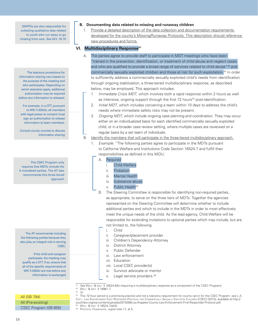SW/POs are also responsible for collecting qualitative data related to youth who run away or go missing from care. See ACL 16-15

The statutory protections for information sharing vary based on the purpose of the meeting and who participates. Depending on which statute(s) apply, additional authorization may be required before any information is released.

For example, in a CFT, pursuant to WIC § 832(b), all members with legal power to consent must sign an authorization to release information to team members.

Consult county counsel to discuss information sharing

The CSEC Program only requires that MDTs include the 5 mandated parties. The AT also recommends this three-tiered approach

The AT recommends including the following parties because they also play an integral role in serving CSEC.

If the child and caregiver participate, the meeting may qualify as a CFT. If so, ensure that all of the specific requirements of WIC § 832(b) are met before any information is exchanged

All (SB 794)

### All (Pre-existing)

CSEC Program (SB 855)

#### **B. Documenting data related to missing and runaway children**

1. Provide a detailed description of the data collection and documentation requirements developed for the county's Missing/Runaway Protocols. This description should reference new procedures and forms.

#### **VI.** Multidisciplinary Response<sup>41</sup>

- A. The parties agree to provide staff to participate in MDT meetings who have been "trained in the prevention, identification, or treatment of child abuse and neglect cases and who are qualified to provide a broad range of services related to child abuse"<sup>42</sup> and commercially sexually exploited children and those at risk for such exploitation.43 In order to sufficiently address a commercially sexually exploited child's needs from identification through ongoing stabilization, a three-tiered multidisciplinary response, as described below, may be employed. This approach includes:
	- 1. Immediate Crisis MDT, which involves both a rapid response within 2 hours as well as intensive, ongoing support through the first 72 hours<sup>44</sup> post-identification.
	- 2. *Initial MDT*, which includes convening a team within 10 days to address the child's needs where immediate safety risks may not be present.
	- 3. Ongoing MDT, which include ongoing case planning and coordination. They may occur either on an individualized basis for each identified commercially sexually exploited child, or in a broader case review setting, where multiple cases are reviewed on a regular basis by a set team of individuals.
- B. Identify the members that will participate in the three-tiered multidisciplinary approach.
	- 1. Example: "The following parties agree to participate in the MDTs pursuant to California Welfare and Institutions Code Section 16524.7 and fulfill their responsibilities as defined in this MOU:

#### A. Required

- i. Child Welfare
- ii. Probation
- iii. Mental Health
- iv. Substance abuse
- v. Public Health<sup>45</sup>
- B. The Steering Committee is responsible for identifying non-required parties, as appropriate, to serve on the three tiers of MDTs. Together the agencies represented on the Steering Committee will determine whether to include additional parties and which to include in the MDTs in order to most effectively meet the unique needs of the child. As the lead agency, Child Welfare will be responsible for extending invitations to optional parties which may include, but are
	- not limited to, the following
	- i. Child
	- ii. Caregiver/placement provider
	- iii. Children's Dependency Attorney
	- iv. District Attorney
	- v. Public Defender
	- vi. Law enforcement
	- vii. Education
	- viii. Local CSEC provider(s)
	- ix. Survivor advocate or mentor
	- x. Legal service providers.46

 $^{42}$  Welf. & Inst. § 18961.7.<br> $^{43}$  Id

<sup>41</sup> See WELF. & INST. § 16524.8(b) (requiring a multidisciplinary response as a component of the CSEC Program).

 $\frac{43}{44}$   $\frac{1}{4}$ This 72-hour period is a promising practice and not a statutory requirement for county opt-in for the CSEC Program; see L.A. Cnty., Law Enforcement First Responder Protocol for Commercially Sexually Exploited Children (CSEC) (2015), available at http:// youthlaw.org/wp-content/uploads/2015/06/Los-Angeles-County-Law-Enforcement-First-Responder-Protocol.pdf. <sup>45</sup> Welf. & Inst. § 16524.7(d)(2).

<sup>46</sup> PROTOCOL FRAMEWORK, supra note 17, at 5.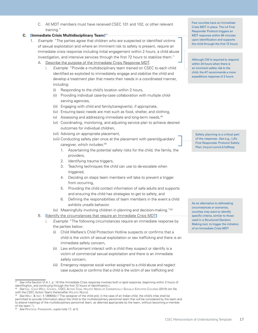C. All MDT members must have received CSEC 101 and 102, or other relevant training."

#### **C. [Immediate Crisis Multidisciplinary Team]**<sup>47</sup>

- 1. Example: "The parties agree that children who are suspected or identified victims of sexual exploitation and where an imminent risk to safety is present, require an immediate crisis response including initial engagement within 2 hours, a child abuse investigation, and intensive services through the first 72 hours to stabilize them."
	- A. Describe the purpose of the Immediate Crisis Response MDT.
		- i. Example: "Provide a multidisciplinary team trained on CSEC to each child identified as exploited to immediately engage and stabilize the child and develop a treatment plan that meets their needs in a coordinated manner, including:
			- (i) Responding to the child's location within 2 hours,
			- (ii) Providing individual case-by-case collaboration with multiple childserving agencies,
			- (iii) Engaging with child and family/caregiver(s), if appropriate,
			- (iv) Ensuring basic needs are met such as food, shelter, and clothing,
			- (v) Assessing and addressing immediate and long-term needs, 48
			- (vi) Coordinating, monitoring, and adjusting service plan to achieve desired outcomes for individual children,
			- (vii) Advising on appropriate placement,
			- (viii) Conducting safety plan once at the placement with parent/guardian/ caregiver, which includes: 49
				- 1. Ascertaining the potential safety risks for the child, the family, the providers,
				- 2. Identifying trauma triggers,
				- 3. Teaching techniques the child can use to de-escalate when triggered,
				- 4. Deciding on steps team members will take to prevent a trigger from occurring,
				- 5. Providing the child contact information of safe adults and supports and ensuring the child has strategies to get to safety, and
				- 6. Defining the responsibilities of team members in the event a child exhibits unsafe behavior.
			- (ix) Meaningfully involving children in planning and decision-making."<sup>50</sup>
	- B. **[**Identify the circumstances that require an Immediate Crisis MDT**]**
		- i. Example: "The following circumstances require an immediate response by the parties below:
			- Child Welfare's Child Protection Hotline suspects or confirms that a child is the victim of sexual exploitation or sex trafficking and there is an immediate safety concern,
			- (ii) Law enforcement interact with a child they suspect or identify is a victim of commercial sexual exploitation and there is an immediate safety concern,
			- (iii) Emergency response social worker assigned to a child abuse and neglect case suspects or confirms that a child is the victim of sex trafficking and

Few counties have an Immediate Crisis MDT in place. The LA First Responder Protocol triggers an MDT response within 90 minutes upon identification and supports the child through the first 72 hours

Although CW is required to respond within 24 hours when there is an imminent safety risk to the child, the AT recommends a more expeditious response of 2 hours

Safety planning is a critical part of the response. See e.g., LA's First Responder Protocol Safety Plan: tinyurl.com/LA1stResp

As an alternative to delineating circumstances or scenarios, counties may want to identify specific criteria, similar to those used in a Structured Decision Making tool, to trigger the initiation of an Immediate Crisis MDT

See infra Section VI.A.1, p. 16 (the Immediate Crisis response involves both a rapid response, beginning within 2 hours of identification, and continuing through the first 72 hours of identification.).

See CAL. CHILD WELF. COUNCIL, CSEC ACTION TEAM, HOLISTIC NEEDS OF COMMERCIALLY SEXUALLY EXPLOITED CHILDREN (2015) (ON file with the CSEC Action Team) [hereinafter Houstic Needs].

See WELF. & INST. § 18964(b) ("The caregiver of the child and, in the case of an Indian child, the child's tribe shall be permitted to provide information about the child to the multidisciplinary personnel team that will be considered by the team and to attend meetings of the multidisciplinary personnel team, as deemed appropriate by the team, without becoming a member of the team.").

<sup>50</sup> See Protocol Framework, supra note 17, at 5.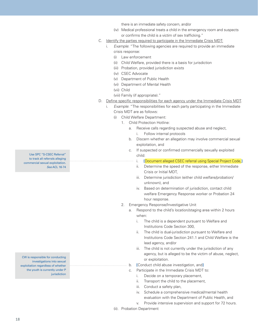there is an immediate safety concern, and/or

- (iv) Medical professional treats a child in the emergency room and suspects or confirms the child is a victim of sex trafficking."
- C. Identify the parties required to participate in the Immediate Crisis MDT:
	- i. Example: "The following agencies are required to provide an immediate crisis response:
		- (i) Law enforcement
		- (ii) Child Welfare, provided there is a basis for jurisdiction
		- (iii) Probation, provided jurisdiction exists
		- (iv) CSEC Advocate
		- (v) Department of Public Health
		- (vi) Department of Mental Health
		- (vii) Child
		- (viii) Family (if appropriate)."
- D. Define specific responsibilities for each agency under the Immediate Crisis MDT.
	- i. Example: "The responsibilities for each party participating in the Immediate Crisis MDT are as follows:
		- (i) Child Welfare Department:
			- 1. Child Protection Hotline:
				- a. Receive calls regarding suspected abuse and neglect,
					- i. Follow internal protocols
				- b. Discern whether an allegation may involve commercial sexual exploitation, and
				- c. If suspected or confirmed commercially sexually exploited child:
					- i. **[**Document alleged CSEC referral using Special Project Code,**]**
					- ii. Determine the speed of the response, either Immediate Crisis or Initial MDT,
					- iii. Determine jurisdiction (either child welfare/probation/ unknown), and
					- iv. Based on determination of jurisdiction, contact child welfare Emergency Response worker or Probation 24 hour response.
			- 2. Emergency Response/Investigative Unit
				- a. Respond to the child's location/staging area within 2 hours when:
					- i. The child is a dependent pursuant to Welfare and Institutions Code Section 300,
					- ii. The child is dual-jurisdiction pursuant to Welfare and Institutions Code Section 241.1 and Child Welfare is the lead agency, and/or
					- iii. The child is not currently under the jurisdiction of any agency, but is alleged to be the victim of abuse, neglect, or exploitation.
				- b. **[**Conduct child abuse investigation, and**]**
				- c. Participate in the Immediate Crisis MDT to:
					- i. Decide on a temporary placement,
					- ii. Transport the child to the placement,
					- iii. Conduct a safety plan,
					- iv. Schedule a comprehensive medical/mental health evaluation with the Department of Public Health, and
					- v. Provide intensive supervision and support for 72 hours.
		- (ii). Probation Department

Use SPC "S-CSEC Referral" to track all referrals alleging commercial sexual exploitation. See ACL 16-74

CW is responsible for conducting investigations into sexual exploitation regardless of whether the youth is currently under P jurisdiction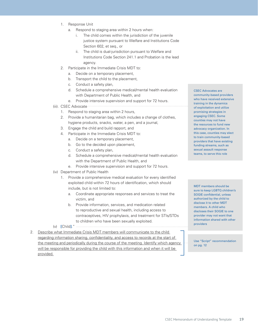- 1. Response Unit
	- a. Respond to staging area within 2 hours when:
		- i. The child comes within the jurisdiction of the juvenile justice system pursuant to Welfare and Institutions Code Section 602, et seq., or
		- ii. The child is dual-jurisdiction pursuant to Welfare and Institutions Code Section 241.1 and Probation is the lead agency.
- 2. Participate in the Immediate Crisis MDT to:
	- a. Decide on a temporary placement,
	- b. Transport the child to the placement,
	- c. Conduct a safety plan,
	- d. Schedule a comprehensive medical/mental health evaluation with Department of Public Health, and
	- e. Provide intensive supervision and support for 72 hours.
- (iii). CSEC Advocate
	- 1. Respond to staging area within 2 hours,
	- 2. Provide a humanitarian bag, which includes a change of clothes, hygiene products, snacks, water, a pen, and a journal,
	- 3. Engage the child and build rapport, and
	- 4. Participate in the Immediate Crisis MDT to:
		- a. Decide on a temporary placement,
		- b. Go to the decided upon placement,
		- c. Conduct a safety plan,
		- d. Schedule a comprehensive medical/mental health evaluation with the Department of Public Health, and
		- e. Provide intensive supervision and support for 72 hours.
- (iv) Department of Public Health
	- 1. Provide a comprehensive medical evaluation for every identified exploited child within 72 hours of identification, which should include, but is not limited to:
		- a. Coordinate appropriate responses and services to treat the victim, and
		- b. Provide information, services, and medication related to reproductive and sexual health, including access to contraceptives, HIV prophylaxis, and treatment for STIs/STDs to children who have been sexually exploited.
- (v) **[**Child**]**."

2. Describe what Immediate Crisis MDT members will communicate to the child regarding information sharing, confidentiality, and access to records at the start of the meeting and periodically during the course of the meeting. Identify which agency will be responsible for providing the child with this information and when it will be provided.

CSEC Advocates are community-based providers who have received extensive training in the dynamics of exploitation and utilize promising strategies in engaging CSEC. Some counties may not have the resources to fund new advocacy organization. In this case, counties may elect to train community-based providers that have existing funding streams, such as sexual assault response teams, to serve this role

MDT members should be sure to keep LGBTQ children's SOGIE confidential, unless authorized by the child to disclose it to other MDT members. A child who discloses their SOGIE to one provider may not want that information shared with other providers

Use "Script" recommendation on pg. 12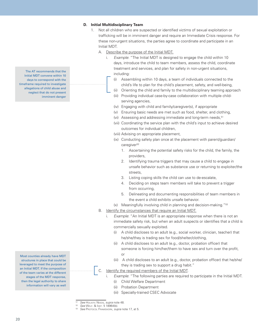#### **D. Initial Multidisciplinary Team**

- 1. Not all children who are suspected or identified victims of sexual exploitation or trafficking will be in imminent danger and require an Immediate Crisis response. For these non-urgent situations, the parties agree to coordinate and participate in an Initial MDT.
	- A. Describe the purpose of the Initial MDT.
		- i. Example: "The Initial MDT is designed to engage the child within 10 days, introduce the child to team members, assess the child, coordinate treatment and services, and plan for safety in non-urgent situations, including:
			- (i) Assembling within 10 days, a team of individuals connected to the child's life to plan for the child's placement, safety, and well-being,
			- (ii) Orienting the child and family to the multidisciplinary teaming approach
			- (iii) Providing individual case-by-case collaboration with multiple childserving agencies,
			- (iv) Engaging with child and family/caregiver(s), if appropriate
			- (v) Ensuring basic needs are met such as food, shelter, and clothing,
			- (vi) Assessing and addressing immediate and long-term needs,<sup>51</sup>
			- (vii) Coordinating the service plan with the child's input to achieve desired outcomes for individual children,
			- (viii) Advising on appropriate placement,
			- (ix) Conducting safety plan once at the placement with parent/guardian/ caregiver<sup>52</sup>
				- 1. Ascertaining the potential safety risks for the child, the family, the providers,
				- 2. Identifying trauma triggers that may cause a child to engage in unsafe behavior such as substance use or returning to exploiter/the streets,
				- 3. Listing coping skills the child can use to de-escalate,
				- 4. Deciding on steps team members will take to prevent a trigger from occurring,
				- 5. Delineating and documenting responsibilities of team members in the event a child exhibits unsafe behavior.
			- (x) Meaningfully involving child in planning and decision-making."53
	- B. Identify the circumstances that require an Initial MDT.
		- i. Example: "An Initial MDT is an appropriate response when there is not an immediate safety risk, but when an adult suspects or identifies that a child is commercially sexually exploited.
			- (i) A child discloses to an adult (e.g., social worker, clinician, teacher) that he/she/they is trading sex for food/shelter/clothing,
			- (ii) A child discloses to an adult (e.g., doctor, probation officer) that someone is forcing him/her/them to have sex and turn over the profit, or
			- (iii) A child discloses to an adult (e.g., doctor, probation officer) that he/she/ they is trading sex to support a drug habit."
	- C. Identify the required members of the Initial MDT.
		- i. Example: "The following parties are required to participate in the Initial MDT.
			- (i) Child Welfare Department
			- (ii) Probation Department
			- (iii) Specially-trained CSEC Advocate

53 See Protocol Framework, supra note 17, at 5.

The AT recommends that the Initial MDT convene within 10 days to correspond with the timeframe required to investigate allegations of child abuse and neglect that do not present imminent danger

Most counties already have MDT structures in place that could be leveraged to meet the purpose of an Initial MDT. If the composition of the team varies at the different stages of the MDT response, then the legal authority to share information will vary as well

<sup>51</sup> See HoLISTIC NEEDS, supra note 48.

<sup>52</sup> See Welf. & Inst. § 18964(b).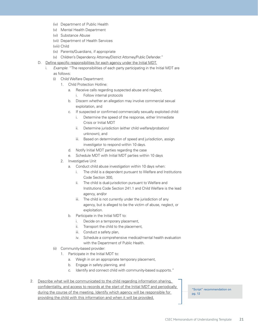- (iv) Department of Public Health
- (v) Mental Health Department
- (vi) Substance Abuse
- (vii) Department of Health Services
- (viii) Child
- (ix) Parents/Guardians, if appropriate
- (x) Children's Dependency Attorney/District Attorney/Public Defender."
- D. Define specific responsibilities for each agency under the Initial MDT.
	- i. Example: "The responsibilities of each party participating in the Initial MDT are as follows:
		- (i) Child Welfare Department:
			- 1. Child Protection Hotline:
				- a. Receive calls regarding suspected abuse and neglect, i. Follow internal protocols
				- b. Discern whether an allegation may involve commercial sexual exploitation, and
				- c. If suspected or confirmed commercially sexually exploited child:
					- i. Determine the speed of the response, either Immediate Crisis or Initial MDT
					- ii. Determine jurisdiction (either child welfare/probation/ unknown), and
					- iii. Based on determination of speed and jurisdiction, assign investigator to respond within 10 days.
				- d. Notify Initial MDT parties regarding the case
				- e. Schedule MDT with Initial MDT parties within 10 days
			- 2. Investigative Unit
				- a. Conduct child abuse investigation within 10 days when:
					- i. The child is a dependent pursuant to Welfare and Institutions Code Section 300,
					- ii. The child is dual-jurisdiction pursuant to Welfare and Institutions Code Section 241.1 and Child Welfare is the lead agency, and/or
					- iii. The child is not currently under the jurisdiction of any agency, but is alleged to be the victim of abuse, neglect, or exploitation.
				- b. Participate in the Initial MDT to:
					- i. Decide on a temporary placement,
					- ii. Transport the child to the placement,
					- iii. Conduct a safety plan,
					- iv. Schedule a comprehensive medical/mental health evaluation with the Department of Public Health.
		- (ii) Community-based provider:
			- 1. Participate in the Initial MDT to:
				- a. Weigh in on an appropriate temporary placement,
				- b. Engage in safety planning, and
				- c. Identify and connect child with community-based supports."

#### 2. Describe what will be communicated to the child regarding information sharing, confidentiality, and access to records at the start of the Initial MDT and periodically during the course of the meeting. Identify which agency will be responsible for providing the child with this information and when it will be provided.

"Script" recommendation on pg. 12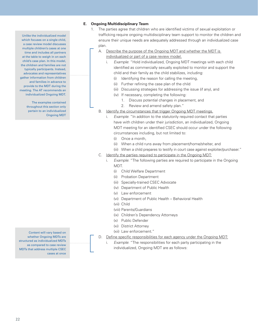#### **E. Ongoing Multidisciplinary Team**

- 1. The parties agree that children who are identified victims of sexual exploitation or trafficking require ongoing multidisciplinary team support to monitor the children and ensure their unique needs are adequately addressed through an individualized case plan.
	- A. Describe the purpose of the Ongoing MDT and whether the MDT is individualized or part of a case review model.
		- i. Example: "Hold individualized, Ongoing MDT meetings with each child identified as commercially sexually exploited to monitor and support the child and their family as the child stabilizes, including:
			- (i) Identifying the reason for calling the meeting,
			- (ii) Further refining the case plan of the child
			- (iii) Discussing strategies for addressing the issue (if any), and
			- (iv) If necessary, completing the following:
				- 1. Discuss potential changes in placement, and
				- 2. Review and amend safety plan."
	- B. Identify the circumstances that trigger Ongoing MDT meetings.
		- i. Example: "In addition to the statutorily required contact that parties have with children under their jurisdiction, an individualized, Ongoing MDT meeting for an identified CSEC should occur under the following circumstances including, but not limited to:
			- (i) Once a month,
			- (ii) When a child runs away from placement/home/shelter, and
			- (iii) When a child prepares to testify in court case against exploiter/purchaser."
	- C. Identify the parties required to participate in the Ongoing MDT:
		- i. Example: "The following parties are required to participate in the Ongoing MDT.
			- (i) Child Welfare Department
			- (ii) Probation Department
			- (iii) Specially-trained CSEC Advocate
			- (iv) Department of Public Health
			- (v) Law enforcement
			- (vi) Department of Public Health Behavioral Health
			- (vii) Child
			- (viii) Parents/Guardians
			- (ix) Children's Dependency Attorneys
			- (x) Public Defender
			- (xi) District Attorney
			- (xii) Law enforcement."
	- D. Define specific responsibilities for each agency under the Ongoing MDT:
		- i. Example: "The responsibilities for each party participating in the individualized, Ongoing MDT are as follows:

Unlike the individualized model which focuses on a single child. a case review model discusses multiple children's cases at one time and includes all partners at the table to weigh in on each child's case plan. In this model, the children and families are not typically participants. Instead, advocates and representatives gather information from children and families in advance to provide to the MDT during the meeting. The AT recommends an individualized Ongoing MDT.

> The examples contained throughout this section only pertain to an individualized Ongoing MDT

Content will vary based on whether Ongoing MDTs are structured as individualized MDTs as compared to case review MDTs that address multiple CSEC cases at once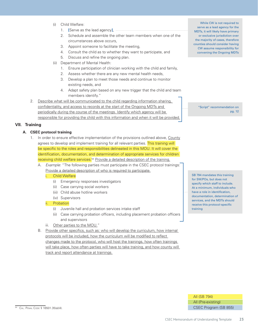- (i) Child Welfare:
	- 1. **[**Serve as the lead agency**]**,
	- 2. Schedule and assemble the other team members when one of the circumstances above occurs,
	- 3. Appoint someone to facilitate the meeting,
	- 4. Consult the child as to whether they want to participate, and
	- 5. Discuss and refine the ongoing plan.
- (ii) Department of Mental Health:
	- 1. Ensure participation of clinician working with the child and family,
	- 2. Assess whether there are any new mental health needs,
	- 3. Develop a plan to meet those needs and continue to monitor existing needs, and
	- 4. Adapt safety plan based on any new trigger that the child and team members identify."
- 2. Describe what will be communicated to the child regarding information sharing, confidentiality, and access to records at the start of the Ongoing MDTs and periodically during the course of the meetings. Identify which agency will be responsible for providing the child with this information and when it will be provided.

#### **VII. Training**

#### **A. CSEC protocol training**

- 1. In order to ensure effective implementation of the provisions outlined above, County agrees to develop and implement training for all relevant parties. This training will be specific to the roles and responsibilities delineated in this MOU. It will cover the identification, documentation, and determination of appropriate services for children receiving child welfare services.<sup>54</sup> Provide a detailed description of the training.
	- A. Example: "The following parties must participate in the CSEC protocol trainings: Provide a detailed description of who is required to participate.
		- i. Child Welfare
			- (i) Emergency responses investigators
			- (ii) Case carrying social workers
			- (iii) Child abuse hotline workers
			- (iv) Supervisors
		- ii. Probation
			- (i) Juvenile hall and probation services intake staff
			- (ii) Case carrying probation officers, including placement probation officers and supervisors
		- iii. Other parties to the MOU."
	- B. Provide other specifics, such as: who will develop the curriculum, how internal protocols will be included, how the curriculum will be modified to reflect changes made to the protocol, who will host the trainings, how often trainings will take place, how often parties will have to take training, and how county will track and report attendance at trainings.

While CW is not required to serve as a lead agency for the MDTs, it will likely have primary or exclusive jurisdiction over the majority of cases, therefore counties should consider having CW assume responsibility for convening the Ongoing MDTs

"Script" recommendation on pg. 12

SB 794 mandates this training for SW/POs, but does not specify which staff to include. At a minimum, individuals who have a role in identification, documentation, determination of services, and the MDTs should receive this protocol-specific training

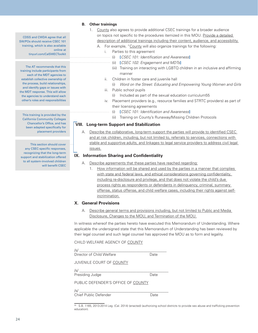CDSS and CWDA agree that all SW/POs should receive CSEC 101 training, which is also available online at tinyurl.com/CalSWECToolkit

The AT recommends that this training include participants from each of the MDT agencies to establish collective ownership of the process, build relationships, and identify gaps or issues with the MDT response. This will allow the agencies to understand each other's roles and responsibilities

This training is provided by the California Community Colleges Chancellor's Office, and has been adapted specifically for placement providers

This section should cover any CSEC-specific responses, recognizing that the long-term support and stabilization offered to all system-involved children will benefit CSEC

#### **B. Other trainings**

- 1. County also agrees to provide additional CSEC trainings for a broader audience on topics not specific to the procedures itemized in this MOU. Provide a detailed description of additional trainings including their content, audience, and accessibility.
	- A. For example, "County will also organize trainings for the following:
		- i. Parties to this agreement
			- (i) **[**CSEC 101: Identification and Awareness**]**
			- (ii) **[**CSEC 102: Engagement and MDTs**]**
			- (iii) Training on interacting with LGBTQ children in an inclusive and affirming manner
		- ii. Children in foster care and juvenile hall
			- (i) Word on the Street: Educating and Empowering Young Women and Girls
		- iii. Public school pupils
			- (i) Included as part of the sexual education curriculum55
			- iv. Placement providers (e.g., resource families and STRTC providers) as part of their licensing agreements
				- (i) **[**CSEC 101: Identification and Awareness**]**
				- (ii) Training on County's Runaway/Missing Children Protocols

#### **VIII. Long-term Support and Stabilization**

A. Describe the collaborative, long-term support the parties will provide to identified CSEC and at risk children, including, but not limited to, referrals to services, connections with stable and supportive adults, and linkages to legal service providers to address civil legal issues.

#### **IX. Information Sharing and Confidentiality**

- A. Describe agreements that these parties have reached regarding:
	- 1. How information will be shared and used by the parties in a manner that complies with state and federal laws, and ethical considerations governing confidentiality, including re-disclosure and privilege, and that does not violate the child's due process rights as respondents or defendants in delinquency, criminal, summary offense, status offense, and child welfare cases, including their rights against selfincrimination.

#### **X. General Provisions**

A. Describe general terms and provisions including, but not limited to Public and Media Disclosure, Changes to the MOU, and Termination of the MOU.

In witness whereof the parties hereto have executed this Memorandum of Understanding. Where applicable the undersigned state that this Memorandum of Understanding has been reviewed by their legal counsel and such legal counsel has approved the MOU as to form and legality.

CHILD WELFARE AGENCY OF COUNTY

| /s/<br>Director of Child Welfare                                                               | Date |
|------------------------------------------------------------------------------------------------|------|
| JUVENILE COURT OF COUNTY                                                                       |      |
| $\sqrt{s}$<br>Presiding Judge                                                                  | Date |
| PUBLIC DEFENDER'S OFFICE OF COUNTY                                                             |      |
| /s/<br><u> 1989 - Johann Stein, mars et al. 1989 - Anna ann an t-</u><br>Chief Public Defender | Date |

55 S.B. 1165, 2013-2014 Leg. (Cal. 2014) (enacted) (authorizing school districts to provide sex abuse and trafficking prevention education).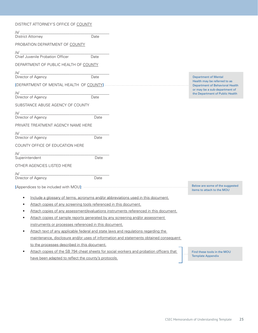|                                                                                       | DISTRICT ATTORNEY'S OFFICE OF COUNTY                                               |      |                                                                                         |  |                                                                         |  |
|---------------------------------------------------------------------------------------|------------------------------------------------------------------------------------|------|-----------------------------------------------------------------------------------------|--|-------------------------------------------------------------------------|--|
| /s/ __                                                                                |                                                                                    |      |                                                                                         |  |                                                                         |  |
| <b>District Attorney</b>                                                              |                                                                                    | Date |                                                                                         |  |                                                                         |  |
|                                                                                       | PROBATION DEPARTMENT OF COUNTY                                                     |      |                                                                                         |  |                                                                         |  |
|                                                                                       | /s/<br>Chief Juvenile Probation Officer                                            | Date |                                                                                         |  |                                                                         |  |
|                                                                                       | DEPARTMENT OF PUBLIC HEALTH OF COUNTY                                              |      |                                                                                         |  |                                                                         |  |
|                                                                                       |                                                                                    |      |                                                                                         |  |                                                                         |  |
|                                                                                       | Director of Agency                                                                 | Date |                                                                                         |  | <b>Department of Mental</b><br>Health may be referred to as             |  |
|                                                                                       |                                                                                    |      |                                                                                         |  | <b>Department of Behavioral Health</b><br>or may be a sub-department of |  |
|                                                                                       | Director of Agency                                                                 | Date |                                                                                         |  | the Department of Public Health                                         |  |
|                                                                                       | SUBSTANCE ABUSE AGENCY OF COUNTY                                                   |      |                                                                                         |  |                                                                         |  |
|                                                                                       |                                                                                    |      |                                                                                         |  |                                                                         |  |
|                                                                                       | Director of Agency                                                                 | Date |                                                                                         |  |                                                                         |  |
|                                                                                       | PRIVATE TREATMENT AGENCY NAME HERE                                                 |      |                                                                                         |  |                                                                         |  |
|                                                                                       | Director of Agency                                                                 | Date |                                                                                         |  |                                                                         |  |
|                                                                                       | COUNTY OFFICE OF EDUCATION HERE                                                    |      |                                                                                         |  |                                                                         |  |
|                                                                                       |                                                                                    |      |                                                                                         |  |                                                                         |  |
| Superintendent                                                                        |                                                                                    | Date |                                                                                         |  |                                                                         |  |
|                                                                                       | OTHER AGENCIES LISTED HERE                                                         |      |                                                                                         |  |                                                                         |  |
| /s/ _______                                                                           |                                                                                    |      |                                                                                         |  |                                                                         |  |
|                                                                                       | Director of Agency                                                                 | Date |                                                                                         |  |                                                                         |  |
|                                                                                       |                                                                                    |      |                                                                                         |  | Below are some of the suggested<br>items to attach to the MOU           |  |
|                                                                                       |                                                                                    |      | Include a glossary of terms, acronyms and/or abbreviations used in this document.       |  |                                                                         |  |
|                                                                                       | Attach copies of any screening tools referenced in this document.                  |      |                                                                                         |  |                                                                         |  |
|                                                                                       |                                                                                    |      | Attach copies of any assessment/evaluations instruments referenced in this document.    |  |                                                                         |  |
|                                                                                       | Attach copies of sample reports generated by any screening and/or assessment       |      |                                                                                         |  |                                                                         |  |
|                                                                                       | instruments or processes referenced in this document.                              |      |                                                                                         |  |                                                                         |  |
|                                                                                       | Attach text of any applicable federal and state laws and regulations regarding the |      |                                                                                         |  |                                                                         |  |
| maintenance, disclosure and/or uses of information and statements obtained consequent |                                                                                    |      |                                                                                         |  |                                                                         |  |
|                                                                                       | to the processes described in this document.                                       |      |                                                                                         |  |                                                                         |  |
|                                                                                       |                                                                                    |      | Attach copies of the SB 794 cheat sheets for social workers and probation officers that |  | Find these tools in the MOU                                             |  |
|                                                                                       | have been adapted to reflect the county's protocols.                               |      |                                                                                         |  | <b>Template Appendix</b>                                                |  |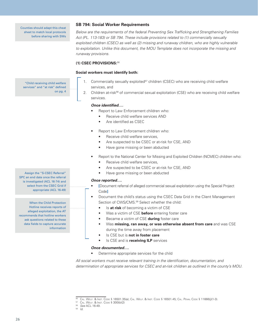Counties should adapt this cheat sheet to match local protocols before sharing with SWs

"Child receiving child welfare services" and "at risk" defined

on pg. 4

#### **SB 794: Social Worker Requirements**

Below are the requirements of the federal Preventing Sex Trafficking and Strengthening Families Act (PL. 113-183) or SB 794. These include provisions related to (1) commercially sexually exploited children (CSEC) as well as (2) missing and runaway children, who are highly vulnerable to exploitation. Unlike this document, the MOU Template does not incorporate the missing and runaway provisions.

#### **(1) CSEC PROVISIONS:**<sup>56</sup>

#### **Social workers must identify both:**

1. Commercially sexually exploited<sup>57</sup> children (CSEC) who are receiving child welfare services, and

2. Children at-risk<sup>58</sup> of commercial sexual exploitation (CSE) who are receiving child welfare services.

#### **Once identified….**

- Report to Law Enforcement children who:
	- Receive child welfare services AND
	- Are identified as CSEC
- Report to Law Enforcement children who:
	- Receive child welfare services,
	- Are suspected to be CSEC or at-risk for CSE, AND
	- Have gone missing or been abducted
- Report to the National Center for Missing and Exploited Children (NCMEC) children who:
	- Receive child welfare services,
	- Are suspected to be CSEC or at-risk for CSE, AND
	- Have gone missing or been abducted

#### **Once reported….**

- **[**Document referral of alleged commercial sexual exploitation using the Special Project Code**]**
- Document the child's status using the CSEC Data Grid in the Client Management Section of CWS/CMS.<sup>59</sup> Select whether the child:
	- Is **at risk** of becoming a victim of CSE
	- Was a victim of CSE **before** entering foster care
	- Became a victim of CSE **during** foster care
	- Was **missing, ran away, or was otherwise absent from care** and was CSE during the time away from placement
	- Is CSE but is **not in foster care**
	- Is CSE and is **receiving ILP** services

#### **Once documented….**

• Determine appropriate services for the child

All social workers must receive relevant training in the identification, documentation, and determination of appropriate services for CSEC and at-risk children as outlined in the county's MOU.

Assign the "S-CSEC Referral" SPC an end date once the referral is investigated (ACL 16-74) and select from the CSEC Grid if appropriate (ACL 16-49)

When the Child Protection Hotline receives reports of alleged exploitation, the AT recommends that hotline workers ask questions related to these data fields to capture accurate information

<sup>56</sup> Cal. Welf. & Inst. Code § 16501.35(a); Cal. Welf. & Inst. Code § 16501.45; Cal. Penal Code § 11666(j)(1-3). 57 Cal. Welf. & Inst. Code § 300(b)(2)

<sup>58</sup> See ACL 16-49.

<sup>59</sup> Id.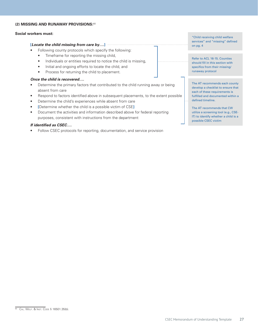#### **(2) MISSING AND RUNAWAY PROVISIONS:**<sup>60</sup>

#### **Social workers must:**

#### **[Locate the child missing from care by….]**

- Following county protocols which specify the following:
	- Timeframe for reporting the missing child,
	- Individuals or entities required to notice the child is missing,
	- Initial and ongoing efforts to locate the child, and
	- Process for returning the child to placement.

#### **Once the child is recovered….**

- Determine the primary factors that contributed to the child running away or being absent from care
- Respond to factors identified above in subsequent placements, to the extent possible
- Determine the child's experiences while absent from care
- **[**Determine whether the child is a possible victim of CSE**]**
- Document the activities and information described above for federal reporting purposes, consistent with instructions from the department

#### **If identified as CSEC….**

Follow CSEC protocols for reporting, documentation, and service provision

"Child receiving child welfare services" and "missing" defined on pg. 4

Refer to ACL 16-15. Counties should fill in this section with specifics from their missing/ runaway protocol

The AT recommends each county develop a checklist to ensure that each of these requirements is fulfilled and documented within a defined timeline.

The AT recommends that CW utilize a screening tool (e.g., CSE-IT) to identify whether a child is a possible CSEC victim

<sup>&</sup>lt;sup>60</sup> CAL. WELF. & INST. CODE § 16501.35(b).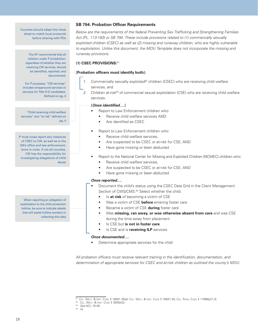Counties should adapt this cheat sheet to match local protocols before sharing with POs

> The AT recommends that all children under P jurisdiction, regardless of whether they are receiving CW services, should be identified, reported, and documented.

For P purposes, "CW services" includes wraparound services or services for Title IV-E candidates. Defined on pg. 4

"Child receiving child welfare services" and "at risk" defined on pg. 4

P must cross report any instances of CSEC to CW, as well as to the DA's office and law enforcement, since in most, if not all counties, CW has the responsibility for investigating allegations of child abuse

When reporting an allegation of exploitation to the child protection hotline, be sure to indicate details that will assist hotline workers in collecting this data

#### **SB 794: Probation Officer Requirements**

Below are the requirements of the federal Preventing Sex Trafficking and Strengthening Families Act (PL. 113-183) or SB 794. These include provisions related to (1) commercially sexually exploited children (CSEC) as well as (2) missing and runaway children, who are highly vulnerable to exploitation. Unlike this document, the MOU Template does not incorporate the missing and runaway provisions.

#### **(1) CSEC PROVISIONS:**<sup>61</sup>

#### **[Probation officers must identify both]:**

- 1. Commercially sexually exploited<sup>62</sup> children (CSEC) who are receiving child welfare services, and
- 2. Children at-risk<sup>63</sup> of commercial sexual exploitation (CSE) who are receiving child welfare services.

#### **[Once identified….]**

- Report to Law Enforcement children who:
	- Receive child welfare services AND
	- Are identified as CSEC
- Report to Law Enforcement children who:
	- Receive child welfare services,
	- Are suspected to be CSEC or at-risk for CSE, AND
	- Have gone missing or been abducted
- Report to the National Center for Missing and Exploited Children (NCMEC) children who:
	- Receive child welfare services,
	- Are suspected to be CSEC or at-risk for CSE, AND
	- Have gone missing or been abducted

#### **Once reported….**

- Document the child's status using the CSEC Data Grid in the Client Management Section of CWS/CMS.<sup>64</sup> Select whether the child:
	- Is **at risk** of becoming a victim of CSE
	- Was a victim of CSE **before** entering foster care
	- Became a victim of CSE **during** foster care
	- Was **missing, ran away, or was otherwise absent from care** and was CSE during the time away from placement
	- Is CSE but is not in foster care
	- Is CSE and is **receiving ILP** services

#### **Once documented….**

• Determine appropriate services for the child

All probation officers must receive relevant training in the identification, documentation, and determination of appropriate services for CSEC and at-risk children as outlined the county's MOU.

<sup>&</sup>lt;sup>61</sup> Cal. Welf. & Inst. Code § 16501.35(a); Cal. Welf. & Inst. Code § 16501.45; Cal. Penal Code § 11666(j)(1-3).  $^{62}$  Cal. Welf. & Inst. Code § 300(b)(2)

<sup>63</sup> See ACL 16-49.

 $64$   $1d$ .